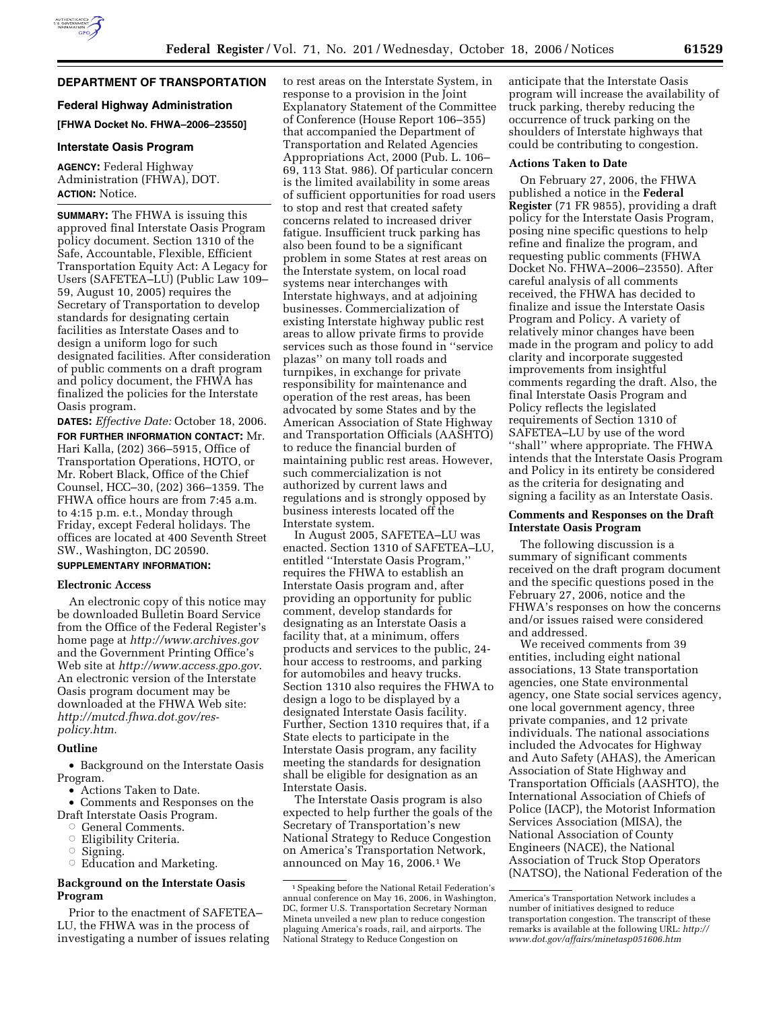# **DEPARTMENT OF TRANSPORTATION**

# **Federal Highway Administration [FHWA Docket No. FHWA–2006–23550]**

## **Interstate Oasis Program**

**AGENCY:** Federal Highway Administration (FHWA), DOT. **ACTION:** Notice.

**SUMMARY:** The FHWA is issuing this approved final Interstate Oasis Program policy document. Section 1310 of the Safe, Accountable, Flexible, Efficient Transportation Equity Act: A Legacy for Users (SAFETEA–LU) (Public Law 109– 59, August 10, 2005) requires the Secretary of Transportation to develop standards for designating certain facilities as Interstate Oases and to design a uniform logo for such designated facilities. After consideration of public comments on a draft program and policy document, the FHWA has finalized the policies for the Interstate Oasis program.

**DATES:** *Effective Date:* October 18, 2006. **FOR FURTHER INFORMATION CONTACT:** Mr. Hari Kalla, (202) 366–5915, Office of Transportation Operations, HOTO, or Mr. Robert Black, Office of the Chief Counsel, HCC–30, (202) 366–1359. The FHWA office hours are from 7:45 a.m. to 4:15 p.m. e.t., Monday through Friday, except Federal holidays. The offices are located at 400 Seventh Street SW., Washington, DC 20590. **SUPPLEMENTARY INFORMATION:**

## **Electronic Access**

An electronic copy of this notice may be downloaded Bulletin Board Service from the Office of the Federal Register's home page at *http://www.archives.gov*  and the Government Printing Office's Web site at *http://www.access.gpo.gov*. An electronic version of the Interstate Oasis program document may be downloaded at the FHWA Web site: *http://mutcd.fhwa.dot.gov/respolicy.htm.* 

# **Outline**

• Background on the Interstate Oasis Program.

• Actions Taken to Date.

• Comments and Responses on the

- Draft Interstate Oasis Program. Æ
- General Comments.
- **Eligibility Criteria.**
- $\circ$  Signing.
- $\circ$  Education and Marketing.

# **Background on the Interstate Oasis Program**

Prior to the enactment of SAFETEA– LU, the FHWA was in the process of investigating a number of issues relating to rest areas on the Interstate System, in response to a provision in the Joint Explanatory Statement of the Committee of Conference (House Report 106–355) that accompanied the Department of Transportation and Related Agencies Appropriations Act, 2000 (Pub. L. 106– 69, 113 Stat. 986). Of particular concern is the limited availability in some areas of sufficient opportunities for road users to stop and rest that created safety concerns related to increased driver fatigue. Insufficient truck parking has also been found to be a significant problem in some States at rest areas on the Interstate system, on local road systems near interchanges with Interstate highways, and at adjoining businesses. Commercialization of existing Interstate highway public rest areas to allow private firms to provide services such as those found in ''service plazas'' on many toll roads and turnpikes, in exchange for private responsibility for maintenance and operation of the rest areas, has been advocated by some States and by the American Association of State Highway and Transportation Officials (AASHTO) to reduce the financial burden of maintaining public rest areas. However, such commercialization is not authorized by current laws and regulations and is strongly opposed by business interests located off the Interstate system.

In August 2005, SAFETEA–LU was enacted. Section 1310 of SAFETEA–LU, entitled ''Interstate Oasis Program,'' requires the FHWA to establish an Interstate Oasis program and, after providing an opportunity for public comment, develop standards for designating as an Interstate Oasis a facility that, at a minimum, offers products and services to the public, 24 hour access to restrooms, and parking for automobiles and heavy trucks. Section 1310 also requires the FHWA to design a logo to be displayed by a designated Interstate Oasis facility. Further, Section 1310 requires that, if a State elects to participate in the Interstate Oasis program, any facility meeting the standards for designation shall be eligible for designation as an Interstate Oasis.

The Interstate Oasis program is also expected to help further the goals of the Secretary of Transportation's new National Strategy to Reduce Congestion on America's Transportation Network, announced on May 16, 2006.1 We

anticipate that the Interstate Oasis program will increase the availability of truck parking, thereby reducing the occurrence of truck parking on the shoulders of Interstate highways that could be contributing to congestion.

#### **Actions Taken to Date**

On February 27, 2006, the FHWA published a notice in the **Federal Register** (71 FR 9855), providing a draft policy for the Interstate Oasis Program, posing nine specific questions to help refine and finalize the program, and requesting public comments (FHWA Docket No. FHWA–2006–23550). After careful analysis of all comments received, the FHWA has decided to finalize and issue the Interstate Oasis Program and Policy. A variety of relatively minor changes have been made in the program and policy to add clarity and incorporate suggested improvements from insightful comments regarding the draft. Also, the final Interstate Oasis Program and Policy reflects the legislated requirements of Section 1310 of SAFETEA–LU by use of the word ''shall'' where appropriate. The FHWA intends that the Interstate Oasis Program and Policy in its entirety be considered as the criteria for designating and signing a facility as an Interstate Oasis.

## **Comments and Responses on the Draft Interstate Oasis Program**

The following discussion is a summary of significant comments received on the draft program document and the specific questions posed in the February 27, 2006, notice and the FHWA's responses on how the concerns and/or issues raised were considered and addressed.

We received comments from 39 entities, including eight national associations, 13 State transportation agencies, one State environmental agency, one State social services agency, one local government agency, three private companies, and 12 private individuals. The national associations included the Advocates for Highway and Auto Safety (AHAS), the American Association of State Highway and Transportation Officials (AASHTO), the International Association of Chiefs of Police (IACP), the Motorist Information Services Association (MISA), the National Association of County Engineers (NACE), the National Association of Truck Stop Operators (NATSO), the National Federation of the

<sup>&</sup>lt;sup>1</sup> Speaking before the National Retail Federation's annual conference on May 16, 2006, in Washington, DC, former U.S. Transportation Secretary Norman Mineta unveiled a new plan to reduce congestion plaguing America's roads, rail, and airports. The National Strategy to Reduce Congestion on

America's Transportation Network includes a number of initiatives designed to reduce transportation congestion. The transcript of these remarks is available at the following URL: *http:// www.dot.gov/affairs/minetasp051606.htm*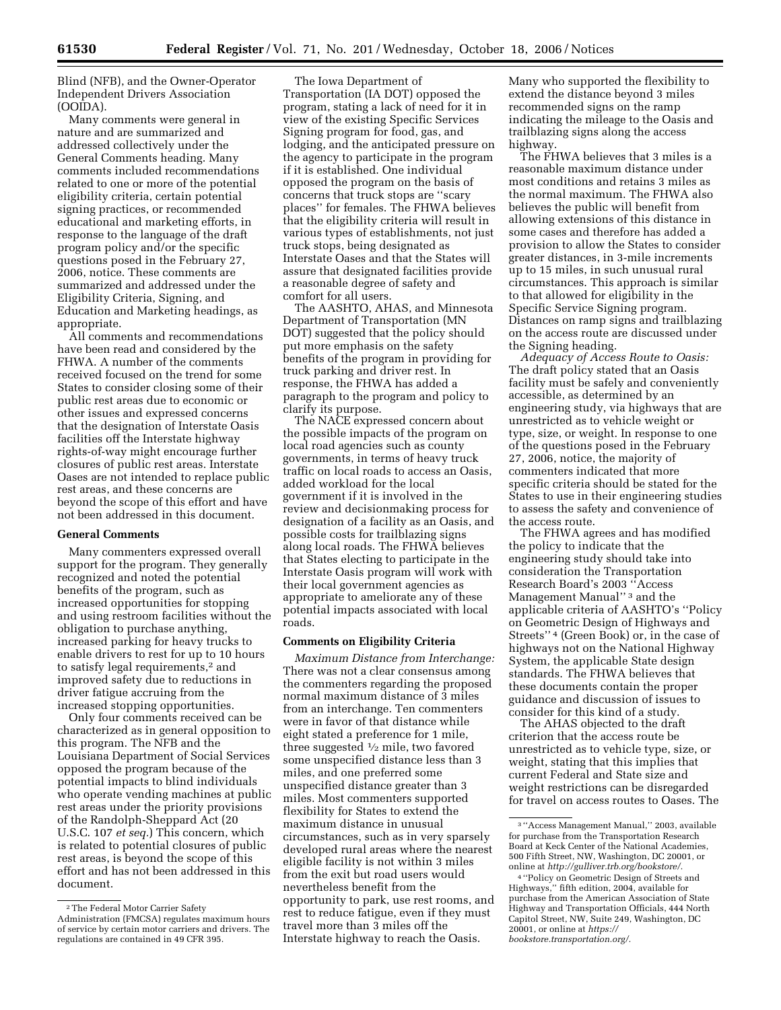Blind (NFB), and the Owner-Operator Independent Drivers Association (OOIDA).

Many comments were general in nature and are summarized and addressed collectively under the General Comments heading. Many comments included recommendations related to one or more of the potential eligibility criteria, certain potential signing practices, or recommended educational and marketing efforts, in response to the language of the draft program policy and/or the specific questions posed in the February 27, 2006, notice. These comments are summarized and addressed under the Eligibility Criteria, Signing, and Education and Marketing headings, as appropriate.

All comments and recommendations have been read and considered by the FHWA. A number of the comments received focused on the trend for some States to consider closing some of their public rest areas due to economic or other issues and expressed concerns that the designation of Interstate Oasis facilities off the Interstate highway rights-of-way might encourage further closures of public rest areas. Interstate Oases are not intended to replace public rest areas, and these concerns are beyond the scope of this effort and have not been addressed in this document.

#### **General Comments**

Many commenters expressed overall support for the program. They generally recognized and noted the potential benefits of the program, such as increased opportunities for stopping and using restroom facilities without the obligation to purchase anything, increased parking for heavy trucks to enable drivers to rest for up to 10 hours to satisfy legal requirements,<sup>2</sup> and improved safety due to reductions in driver fatigue accruing from the increased stopping opportunities.

Only four comments received can be characterized as in general opposition to this program. The NFB and the Louisiana Department of Social Services opposed the program because of the potential impacts to blind individuals who operate vending machines at public rest areas under the priority provisions of the Randolph-Sheppard Act (20 U.S.C. 107 *et seq.*) This concern, which is related to potential closures of public rest areas, is beyond the scope of this effort and has not been addressed in this document.

The Iowa Department of Transportation (IA DOT) opposed the program, stating a lack of need for it in view of the existing Specific Services Signing program for food, gas, and lodging, and the anticipated pressure on the agency to participate in the program if it is established. One individual opposed the program on the basis of concerns that truck stops are ''scary places'' for females. The FHWA believes that the eligibility criteria will result in various types of establishments, not just truck stops, being designated as Interstate Oases and that the States will assure that designated facilities provide a reasonable degree of safety and comfort for all users.

The AASHTO, AHAS, and Minnesota Department of Transportation (MN DOT) suggested that the policy should put more emphasis on the safety benefits of the program in providing for truck parking and driver rest. In response, the FHWA has added a paragraph to the program and policy to clarify its purpose.

The NACE expressed concern about the possible impacts of the program on local road agencies such as county governments, in terms of heavy truck traffic on local roads to access an Oasis, added workload for the local government if it is involved in the review and decisionmaking process for designation of a facility as an Oasis, and possible costs for trailblazing signs along local roads. The FHWA believes that States electing to participate in the Interstate Oasis program will work with their local government agencies as appropriate to ameliorate any of these potential impacts associated with local roads.

#### **Comments on Eligibility Criteria**

*Maximum Distance from Interchange:*  There was not a clear consensus among the commenters regarding the proposed normal maximum distance of 3 miles from an interchange. Ten commenters were in favor of that distance while eight stated a preference for 1 mile, three suggested  $\frac{1}{2}$  mile, two favored some unspecified distance less than 3 miles, and one preferred some unspecified distance greater than 3 miles. Most commenters supported flexibility for States to extend the maximum distance in unusual circumstances, such as in very sparsely developed rural areas where the nearest eligible facility is not within 3 miles from the exit but road users would nevertheless benefit from the opportunity to park, use rest rooms, and rest to reduce fatigue, even if they must travel more than 3 miles off the Interstate highway to reach the Oasis.

Many who supported the flexibility to extend the distance beyond 3 miles recommended signs on the ramp indicating the mileage to the Oasis and trailblazing signs along the access highway.

The FHWA believes that 3 miles is a reasonable maximum distance under most conditions and retains 3 miles as the normal maximum. The FHWA also believes the public will benefit from allowing extensions of this distance in some cases and therefore has added a provision to allow the States to consider greater distances, in 3-mile increments up to 15 miles, in such unusual rural circumstances. This approach is similar to that allowed for eligibility in the Specific Service Signing program. Distances on ramp signs and trailblazing on the access route are discussed under the Signing heading.

*Adequacy of Access Route to Oasis:*  The draft policy stated that an Oasis facility must be safely and conveniently accessible, as determined by an engineering study, via highways that are unrestricted as to vehicle weight or type, size, or weight. In response to one of the questions posed in the February 27, 2006, notice, the majority of commenters indicated that more specific criteria should be stated for the States to use in their engineering studies to assess the safety and convenience of the access route.

The FHWA agrees and has modified the policy to indicate that the engineering study should take into consideration the Transportation Research Board's 2003 ''Access Management Manual'' 3 and the applicable criteria of AASHTO's ''Policy on Geometric Design of Highways and Streets'' 4 (Green Book) or, in the case of highways not on the National Highway System, the applicable State design standards. The FHWA believes that these documents contain the proper guidance and discussion of issues to consider for this kind of a study.

The AHAS objected to the draft criterion that the access route be unrestricted as to vehicle type, size, or weight, stating that this implies that current Federal and State size and weight restrictions can be disregarded for travel on access routes to Oases. The

<sup>2</sup>The Federal Motor Carrier Safety Administration (FMCSA) regulates maximum hours of service by certain motor carriers and drivers. The regulations are contained in 49 CFR 395.

<sup>3</sup> ''Access Management Manual,'' 2003, available for purchase from the Transportation Research Board at Keck Center of the National Academies, 500 Fifth Street, NW, Washington, DC 20001, or online at *http://gulliver.trb.org/bookstore/.* 

<sup>4</sup> ''Policy on Geometric Design of Streets and Highways,'' fifth edition, 2004, available for purchase from the American Association of State Highway and Transportation Officials, 444 North Capitol Street, NW, Suite 249, Washington, DC 20001, or online at *https:// bookstore.transportation.org/.*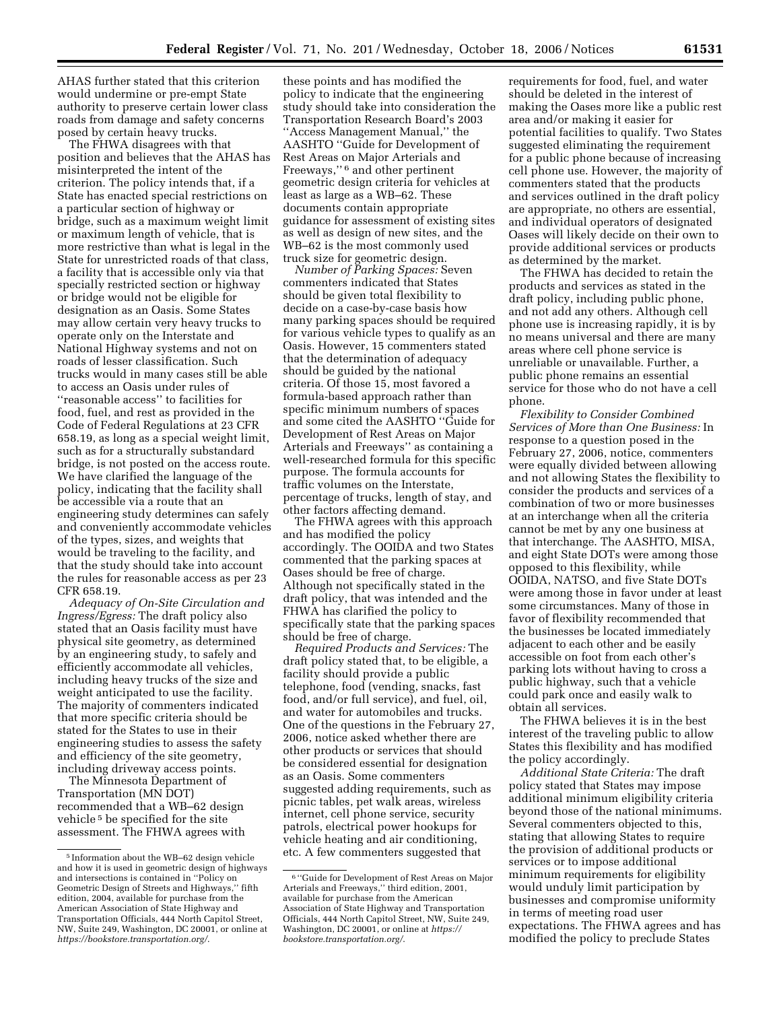AHAS further stated that this criterion would undermine or pre-empt State authority to preserve certain lower class roads from damage and safety concerns posed by certain heavy trucks.

The FHWA disagrees with that position and believes that the AHAS has misinterpreted the intent of the criterion. The policy intends that, if a State has enacted special restrictions on a particular section of highway or bridge, such as a maximum weight limit or maximum length of vehicle, that is more restrictive than what is legal in the State for unrestricted roads of that class, a facility that is accessible only via that specially restricted section or highway or bridge would not be eligible for designation as an Oasis. Some States may allow certain very heavy trucks to operate only on the Interstate and National Highway systems and not on roads of lesser classification. Such trucks would in many cases still be able to access an Oasis under rules of ''reasonable access'' to facilities for food, fuel, and rest as provided in the Code of Federal Regulations at 23 CFR 658.19, as long as a special weight limit, such as for a structurally substandard bridge, is not posted on the access route. We have clarified the language of the policy, indicating that the facility shall be accessible via a route that an engineering study determines can safely and conveniently accommodate vehicles of the types, sizes, and weights that would be traveling to the facility, and that the study should take into account the rules for reasonable access as per 23 CFR 658.19.

*Adequacy of On-Site Circulation and Ingress/Egress:* The draft policy also stated that an Oasis facility must have physical site geometry, as determined by an engineering study, to safely and efficiently accommodate all vehicles, including heavy trucks of the size and weight anticipated to use the facility. The majority of commenters indicated that more specific criteria should be stated for the States to use in their engineering studies to assess the safety and efficiency of the site geometry, including driveway access points.

The Minnesota Department of Transportation (MN DOT) recommended that a WB–62 design vehicle 5 be specified for the site assessment. The FHWA agrees with

these points and has modified the policy to indicate that the engineering study should take into consideration the Transportation Research Board's 2003 ''Access Management Manual,'' the AASHTO ''Guide for Development of Rest Areas on Major Arterials and Freeways,'' 6 and other pertinent geometric design criteria for vehicles at least as large as a WB–62. These documents contain appropriate guidance for assessment of existing sites as well as design of new sites, and the WB–62 is the most commonly used truck size for geometric design.

*Number of Parking Spaces:* Seven commenters indicated that States should be given total flexibility to decide on a case-by-case basis how many parking spaces should be required for various vehicle types to qualify as an Oasis. However, 15 commenters stated that the determination of adequacy should be guided by the national criteria. Of those 15, most favored a formula-based approach rather than specific minimum numbers of spaces and some cited the AASHTO ''Guide for Development of Rest Areas on Major Arterials and Freeways'' as containing a well-researched formula for this specific purpose. The formula accounts for traffic volumes on the Interstate, percentage of trucks, length of stay, and other factors affecting demand.

The FHWA agrees with this approach and has modified the policy accordingly. The OOIDA and two States commented that the parking spaces at Oases should be free of charge. Although not specifically stated in the draft policy, that was intended and the FHWA has clarified the policy to specifically state that the parking spaces should be free of charge.

*Required Products and Services:* The draft policy stated that, to be eligible, a facility should provide a public telephone, food (vending, snacks, fast food, and/or full service), and fuel, oil, and water for automobiles and trucks. One of the questions in the February 27, 2006, notice asked whether there are other products or services that should be considered essential for designation as an Oasis. Some commenters suggested adding requirements, such as picnic tables, pet walk areas, wireless internet, cell phone service, security patrols, electrical power hookups for vehicle heating and air conditioning, etc. A few commenters suggested that

requirements for food, fuel, and water should be deleted in the interest of making the Oases more like a public rest area and/or making it easier for potential facilities to qualify. Two States suggested eliminating the requirement for a public phone because of increasing cell phone use. However, the majority of commenters stated that the products and services outlined in the draft policy are appropriate, no others are essential, and individual operators of designated Oases will likely decide on their own to provide additional services or products as determined by the market.

The FHWA has decided to retain the products and services as stated in the draft policy, including public phone, and not add any others. Although cell phone use is increasing rapidly, it is by no means universal and there are many areas where cell phone service is unreliable or unavailable. Further, a public phone remains an essential service for those who do not have a cell phone.

*Flexibility to Consider Combined Services of More than One Business:* In response to a question posed in the February 27, 2006, notice, commenters were equally divided between allowing and not allowing States the flexibility to consider the products and services of a combination of two or more businesses at an interchange when all the criteria cannot be met by any one business at that interchange. The AASHTO, MISA, and eight State DOTs were among those opposed to this flexibility, while OOIDA, NATSO, and five State DOTs were among those in favor under at least some circumstances. Many of those in favor of flexibility recommended that the businesses be located immediately adjacent to each other and be easily accessible on foot from each other's parking lots without having to cross a public highway, such that a vehicle could park once and easily walk to obtain all services.

The FHWA believes it is in the best interest of the traveling public to allow States this flexibility and has modified the policy accordingly.

*Additional State Criteria:* The draft policy stated that States may impose additional minimum eligibility criteria beyond those of the national minimums. Several commenters objected to this, stating that allowing States to require the provision of additional products or services or to impose additional minimum requirements for eligibility would unduly limit participation by businesses and compromise uniformity in terms of meeting road user expectations. The FHWA agrees and has modified the policy to preclude States

<sup>5</sup> Information about the WB–62 design vehicle and how it is used in geometric design of highways and intersections is contained in ''Policy on Geometric Design of Streets and Highways,'' fifth edition, 2004, available for purchase from the American Association of State Highway and Transportation Officials, 444 North Capitol Street, NW, Suite 249, Washington, DC 20001, or online at *https://bookstore.transportation.org/*.

<sup>6</sup> ''Guide for Development of Rest Areas on Major Arterials and Freeways,'' third edition, 2001, available for purchase from the American Association of State Highway and Transportation Officials, 444 North Capitol Street, NW, Suite 249, Washington, DC 20001, or online at *https:// bookstore.transportation.org/*.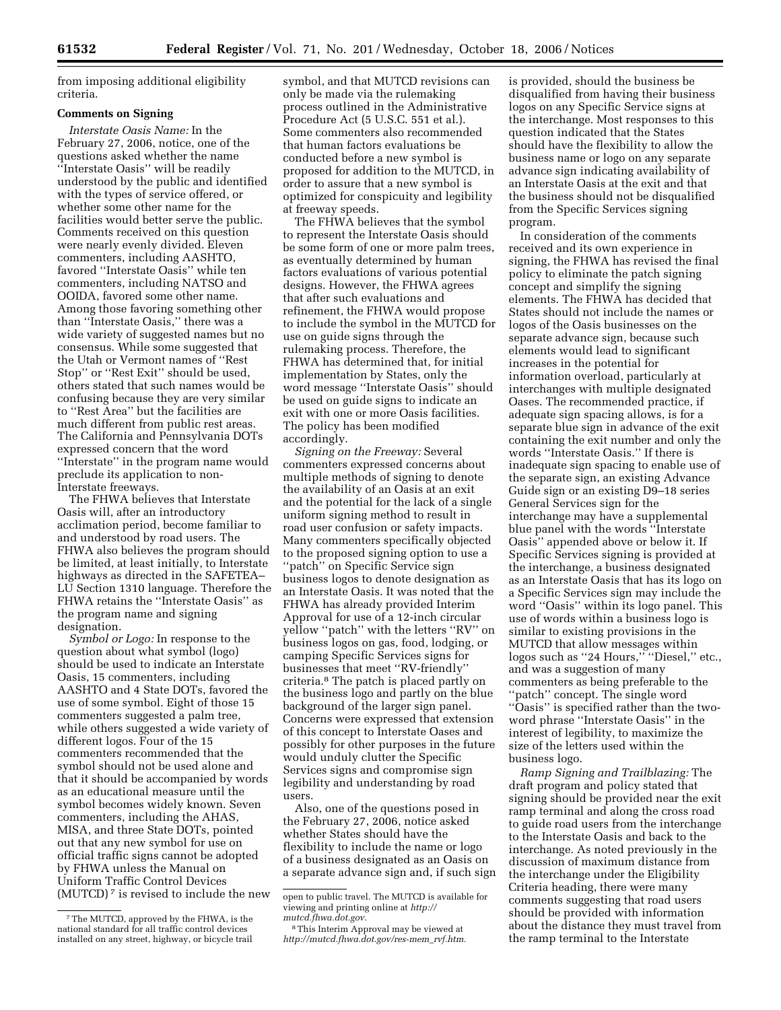from imposing additional eligibility criteria.

# **Comments on Signing**

*Interstate Oasis Name:* In the February 27, 2006, notice, one of the questions asked whether the name ''Interstate Oasis'' will be readily understood by the public and identified with the types of service offered, or whether some other name for the facilities would better serve the public. Comments received on this question were nearly evenly divided. Eleven commenters, including AASHTO, favored ''Interstate Oasis'' while ten commenters, including NATSO and OOIDA, favored some other name. Among those favoring something other than ''Interstate Oasis,'' there was a wide variety of suggested names but no consensus. While some suggested that the Utah or Vermont names of ''Rest Stop'' or ''Rest Exit'' should be used, others stated that such names would be confusing because they are very similar to ''Rest Area'' but the facilities are much different from public rest areas. The California and Pennsylvania DOTs expressed concern that the word ''Interstate'' in the program name would preclude its application to non-Interstate freeways.

The FHWA believes that Interstate Oasis will, after an introductory acclimation period, become familiar to and understood by road users. The FHWA also believes the program should be limited, at least initially, to Interstate highways as directed in the SAFETEA– LU Section 1310 language. Therefore the FHWA retains the ''Interstate Oasis'' as the program name and signing designation.

*Symbol or Logo:* In response to the question about what symbol (logo) should be used to indicate an Interstate Oasis, 15 commenters, including AASHTO and 4 State DOTs, favored the use of some symbol. Eight of those 15 commenters suggested a palm tree, while others suggested a wide variety of different logos. Four of the 15 commenters recommended that the symbol should not be used alone and that it should be accompanied by words as an educational measure until the symbol becomes widely known. Seven commenters, including the AHAS, MISA, and three State DOTs, pointed out that any new symbol for use on official traffic signs cannot be adopted by FHWA unless the Manual on Uniform Traffic Control Devices (MUTCD) 7 is revised to include the new symbol, and that MUTCD revisions can only be made via the rulemaking process outlined in the Administrative Procedure Act (5 U.S.C. 551 et al.). Some commenters also recommended that human factors evaluations be conducted before a new symbol is proposed for addition to the MUTCD, in order to assure that a new symbol is optimized for conspicuity and legibility at freeway speeds.

The FHWA believes that the symbol to represent the Interstate Oasis should be some form of one or more palm trees, as eventually determined by human factors evaluations of various potential designs. However, the FHWA agrees that after such evaluations and refinement, the FHWA would propose to include the symbol in the MUTCD for use on guide signs through the rulemaking process. Therefore, the FHWA has determined that, for initial implementation by States, only the word message ''Interstate Oasis'' should be used on guide signs to indicate an exit with one or more Oasis facilities. The policy has been modified accordingly.

*Signing on the Freeway:* Several commenters expressed concerns about multiple methods of signing to denote the availability of an Oasis at an exit and the potential for the lack of a single uniform signing method to result in road user confusion or safety impacts. Many commenters specifically objected to the proposed signing option to use a ''patch'' on Specific Service sign business logos to denote designation as an Interstate Oasis. It was noted that the FHWA has already provided Interim Approval for use of a 12-inch circular yellow ''patch'' with the letters ''RV'' on business logos on gas, food, lodging, or camping Specific Services signs for businesses that meet ''RV-friendly'' criteria.8 The patch is placed partly on the business logo and partly on the blue background of the larger sign panel. Concerns were expressed that extension of this concept to Interstate Oases and possibly for other purposes in the future would unduly clutter the Specific Services signs and compromise sign legibility and understanding by road users.

Also, one of the questions posed in the February 27, 2006, notice asked whether States should have the flexibility to include the name or logo of a business designated as an Oasis on a separate advance sign and, if such sign is provided, should the business be disqualified from having their business logos on any Specific Service signs at the interchange. Most responses to this question indicated that the States should have the flexibility to allow the business name or logo on any separate advance sign indicating availability of an Interstate Oasis at the exit and that the business should not be disqualified from the Specific Services signing program.

In consideration of the comments received and its own experience in signing, the FHWA has revised the final policy to eliminate the patch signing concept and simplify the signing elements. The FHWA has decided that States should not include the names or logos of the Oasis businesses on the separate advance sign, because such elements would lead to significant increases in the potential for information overload, particularly at interchanges with multiple designated Oases. The recommended practice, if adequate sign spacing allows, is for a separate blue sign in advance of the exit containing the exit number and only the words ''Interstate Oasis.'' If there is inadequate sign spacing to enable use of the separate sign, an existing Advance Guide sign or an existing D9–18 series General Services sign for the interchange may have a supplemental blue panel with the words ''Interstate Oasis'' appended above or below it. If Specific Services signing is provided at the interchange, a business designated as an Interstate Oasis that has its logo on a Specific Services sign may include the word ''Oasis'' within its logo panel. This use of words within a business logo is similar to existing provisions in the MUTCD that allow messages within logos such as "24 Hours," "Diesel," etc., and was a suggestion of many commenters as being preferable to the ''patch'' concept. The single word ''Oasis'' is specified rather than the twoword phrase ''Interstate Oasis'' in the interest of legibility, to maximize the size of the letters used within the business logo.

*Ramp Signing and Trailblazing:* The draft program and policy stated that signing should be provided near the exit ramp terminal and along the cross road to guide road users from the interchange to the Interstate Oasis and back to the interchange. As noted previously in the discussion of maximum distance from the interchange under the Eligibility Criteria heading, there were many comments suggesting that road users should be provided with information about the distance they must travel from the ramp terminal to the Interstate

<sup>7</sup>The MUTCD, approved by the FHWA, is the national standard for all traffic control devices installed on any street, highway, or bicycle trail

open to public travel. The MUTCD is available for viewing and printing online at *http:// mutcd.fhwa.dot.gov*.

<sup>8</sup>This Interim Approval may be viewed at *http://mutcd.fhwa.dot.gov/res-mem*\_*rvf.htm.*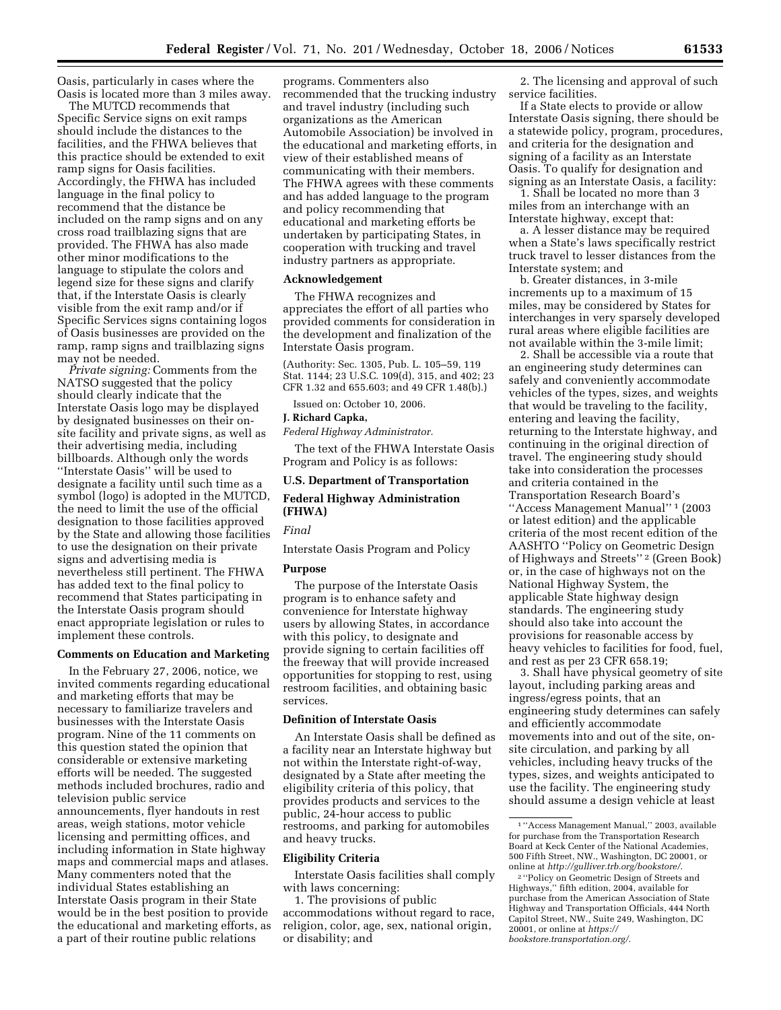Oasis, particularly in cases where the Oasis is located more than 3 miles away.

The MUTCD recommends that Specific Service signs on exit ramps should include the distances to the facilities, and the FHWA believes that this practice should be extended to exit ramp signs for Oasis facilities. Accordingly, the FHWA has included language in the final policy to recommend that the distance be included on the ramp signs and on any cross road trailblazing signs that are provided. The FHWA has also made other minor modifications to the language to stipulate the colors and legend size for these signs and clarify that, if the Interstate Oasis is clearly visible from the exit ramp and/or if Specific Services signs containing logos of Oasis businesses are provided on the ramp, ramp signs and trailblazing signs may not be needed.

*Private signing:* Comments from the NATSO suggested that the policy should clearly indicate that the Interstate Oasis logo may be displayed by designated businesses on their onsite facility and private signs, as well as their advertising media, including billboards. Although only the words ''Interstate Oasis'' will be used to designate a facility until such time as a symbol (logo) is adopted in the MUTCD, the need to limit the use of the official designation to those facilities approved by the State and allowing those facilities to use the designation on their private signs and advertising media is nevertheless still pertinent. The FHWA has added text to the final policy to recommend that States participating in the Interstate Oasis program should enact appropriate legislation or rules to implement these controls.

#### **Comments on Education and Marketing**

In the February 27, 2006, notice, we invited comments regarding educational and marketing efforts that may be necessary to familiarize travelers and businesses with the Interstate Oasis program. Nine of the 11 comments on this question stated the opinion that considerable or extensive marketing efforts will be needed. The suggested methods included brochures, radio and television public service announcements, flyer handouts in rest areas, weigh stations, motor vehicle licensing and permitting offices, and including information in State highway maps and commercial maps and atlases. Many commenters noted that the individual States establishing an Interstate Oasis program in their State would be in the best position to provide the educational and marketing efforts, as a part of their routine public relations

programs. Commenters also recommended that the trucking industry and travel industry (including such organizations as the American Automobile Association) be involved in the educational and marketing efforts, in view of their established means of communicating with their members. The FHWA agrees with these comments and has added language to the program and policy recommending that educational and marketing efforts be undertaken by participating States, in cooperation with trucking and travel industry partners as appropriate.

#### **Acknowledgement**

The FHWA recognizes and appreciates the effort of all parties who provided comments for consideration in the development and finalization of the Interstate Oasis program.

(Authority: Sec. 1305, Pub. L. 105–59, 119 Stat. 1144; 23 U.S.C. 109(d), 315, and 402; 23 CFR 1.32 and 655.603; and 49 CFR 1.48(b).)

Issued on: October 10, 2006.

#### **J. Richard Capka,**

*Federal Highway Administrator.* 

The text of the FHWA Interstate Oasis Program and Policy is as follows:

# **U.S. Department of Transportation Federal Highway Administration (FHWA)**

# *Final*

Interstate Oasis Program and Policy

#### **Purpose**

The purpose of the Interstate Oasis program is to enhance safety and convenience for Interstate highway users by allowing States, in accordance with this policy, to designate and provide signing to certain facilities off the freeway that will provide increased opportunities for stopping to rest, using restroom facilities, and obtaining basic services.

## **Definition of Interstate Oasis**

An Interstate Oasis shall be defined as a facility near an Interstate highway but not within the Interstate right-of-way, designated by a State after meeting the eligibility criteria of this policy, that provides products and services to the public, 24-hour access to public restrooms, and parking for automobiles and heavy trucks.

#### **Eligibility Criteria**

Interstate Oasis facilities shall comply with laws concerning:

1. The provisions of public accommodations without regard to race, religion, color, age, sex, national origin, or disability; and

2. The licensing and approval of such service facilities.

If a State elects to provide or allow Interstate Oasis signing, there should be a statewide policy, program, procedures, and criteria for the designation and signing of a facility as an Interstate Oasis. To qualify for designation and signing as an Interstate Oasis, a facility:

1. Shall be located no more than 3 miles from an interchange with an Interstate highway, except that:

a. A lesser distance may be required when a State's laws specifically restrict truck travel to lesser distances from the Interstate system; and

b. Greater distances, in 3-mile increments up to a maximum of 15 miles, may be considered by States for interchanges in very sparsely developed rural areas where eligible facilities are not available within the 3-mile limit;

2. Shall be accessible via a route that an engineering study determines can safely and conveniently accommodate vehicles of the types, sizes, and weights that would be traveling to the facility, entering and leaving the facility, returning to the Interstate highway, and continuing in the original direction of travel. The engineering study should take into consideration the processes and criteria contained in the Transportation Research Board's ''Access Management Manual'' 1 (2003 or latest edition) and the applicable criteria of the most recent edition of the AASHTO ''Policy on Geometric Design of Highways and Streets'' 2 (Green Book) or, in the case of highways not on the National Highway System, the applicable State highway design standards. The engineering study should also take into account the provisions for reasonable access by heavy vehicles to facilities for food, fuel, and rest as per 23 CFR 658.19;

3. Shall have physical geometry of site layout, including parking areas and ingress/egress points, that an engineering study determines can safely and efficiently accommodate movements into and out of the site, onsite circulation, and parking by all vehicles, including heavy trucks of the types, sizes, and weights anticipated to use the facility. The engineering study should assume a design vehicle at least

<sup>1</sup> ''Access Management Manual,'' 2003, available for purchase from the Transportation Research Board at Keck Center of the National Academies, 500 Fifth Street, NW., Washington, DC 20001, or online at *http://gulliver.trb.org/bookstore/*.

<sup>2</sup> ''Policy on Geometric Design of Streets and Highways,'' fifth edition, 2004, available for purchase from the American Association of State Highway and Transportation Officials, 444 North Capitol Street, NW., Suite 249, Washington, DC 20001, or online at *https:// bookstore.transportation.org/*.